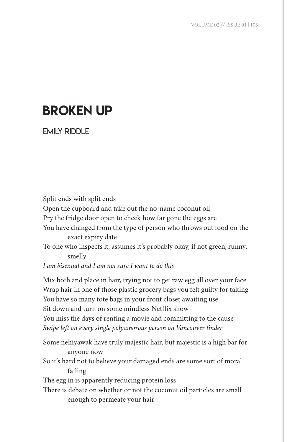## BROKEN UP

EMILY RIDDLE

Split ends with split ends Open the cupboard and take out the no-name coconut oil Pry the fridge door open to check how far gone the eggs are You have changed from the type of person who throws out food on the exact expiry date To one who inspects it, assumes it's probably okay, if not green, runny, smelly *I am bisexual and I am not sure I want to do this*

Mix both and place in hair, trying not to get raw egg all over your face Wrap hair in one of those plastic grocery bags you felt guilty for taking You have so many tote bags in your front closet awaiting use Sit down and turn on some mindless Netflix show You miss the days of renting a movie and committing to the cause *Swipe left on every single polyamorous person on Vancouver tinder* 

Some nehiyawak have truly majestic hair, but majestic is a high bar for anyone now So it's hard not to believe your damaged ends are some sort of moral failing The egg in is apparently reducing protein loss There is debate on whether or not the coconut oil particles are small enough to permeate your hair